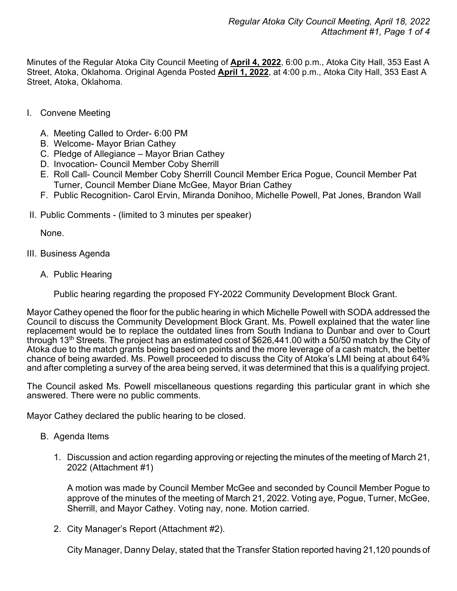Minutes of the Regular Atoka City Council Meeting of **April 4, 2022**, 6:00 p.m., Atoka City Hall, 353 East A Street, Atoka, Oklahoma. Original Agenda Posted **April 1, 2022**, at 4:00 p.m., Atoka City Hall, 353 East A Street, Atoka, Oklahoma.

- I. Convene Meeting
	- A. Meeting Called to Order- 6:00 PM
	- B. Welcome- Mayor Brian Cathey
	- C. Pledge of Allegiance Mayor Brian Cathey
	- D. Invocation- Council Member Coby Sherrill
	- E. Roll Call- Council Member Coby Sherrill Council Member Erica Pogue, Council Member Pat Turner, Council Member Diane McGee, Mayor Brian Cathey
	- F. Public Recognition- Carol Ervin, Miranda Donihoo, Michelle Powell, Pat Jones, Brandon Wall
- II. Public Comments (limited to 3 minutes per speaker)

None.

- III. Business Agenda
	- A. Public Hearing

Public hearing regarding the proposed FY-2022 Community Development Block Grant.

Mayor Cathey opened the floor for the public hearing in which Michelle Powell with SODA addressed the Council to discuss the Community Development Block Grant. Ms. Powell explained that the water line replacement would be to replace the outdated lines from South Indiana to Dunbar and over to Court through 13th Streets. The project has an estimated cost of \$626,441.00 with a 50/50 match by the City of Atoka due to the match grants being based on points and the more leverage of a cash match, the better chance of being awarded. Ms. Powell proceeded to discuss the City of Atoka's LMI being at about 64% and after completing a survey of the area being served, it was determined that this is a qualifying project.

The Council asked Ms. Powell miscellaneous questions regarding this particular grant in which she answered. There were no public comments.

Mayor Cathey declared the public hearing to be closed.

- B. Agenda Items
	- 1. Discussion and action regarding approving or rejecting the minutes of the meeting of March 21, 2022 (Attachment #1)

A motion was made by Council Member McGee and seconded by Council Member Pogue to approve of the minutes of the meeting of March 21, 2022. Voting aye, Pogue, Turner, McGee, Sherrill, and Mayor Cathey. Voting nay, none. Motion carried.

2. City Manager's Report (Attachment #2).

City Manager, Danny Delay, stated that the Transfer Station reported having 21,120 pounds of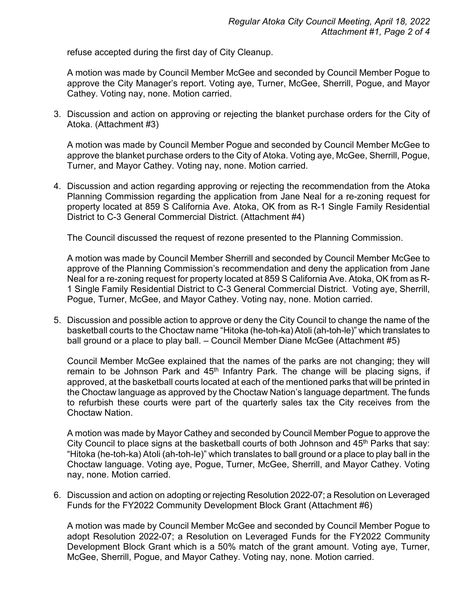refuse accepted during the first day of City Cleanup.

A motion was made by Council Member McGee and seconded by Council Member Pogue to approve the City Manager's report. Voting aye, Turner, McGee, Sherrill, Pogue, and Mayor Cathey. Voting nay, none. Motion carried.

3. Discussion and action on approving or rejecting the blanket purchase orders for the City of Atoka. (Attachment #3)

A motion was made by Council Member Pogue and seconded by Council Member McGee to approve the blanket purchase orders to the City of Atoka. Voting aye, McGee, Sherrill, Pogue, Turner, and Mayor Cathey. Voting nay, none. Motion carried.

4. Discussion and action regarding approving or rejecting the recommendation from the Atoka Planning Commission regarding the application from Jane Neal for a re-zoning request for property located at 859 S California Ave. Atoka, OK from as R-1 Single Family Residential District to C-3 General Commercial District. (Attachment #4)

The Council discussed the request of rezone presented to the Planning Commission.

A motion was made by Council Member Sherrill and seconded by Council Member McGee to approve of the Planning Commission's recommendation and deny the application from Jane Neal for a re-zoning request for property located at 859 S California Ave. Atoka, OK from as R-1 Single Family Residential District to C-3 General Commercial District. Voting aye, Sherrill, Pogue, Turner, McGee, and Mayor Cathey. Voting nay, none. Motion carried.

5. Discussion and possible action to approve or deny the City Council to change the name of the basketball courts to the Choctaw name "Hitoka (he-toh-ka) Atoli (ah-toh-le)" which translates to ball ground or a place to play ball. – Council Member Diane McGee (Attachment #5)

Council Member McGee explained that the names of the parks are not changing; they will remain to be Johnson Park and  $45<sup>th</sup>$  Infantry Park. The change will be placing signs, if approved, at the basketball courts located at each of the mentioned parks that will be printed in the Choctaw language as approved by the Choctaw Nation's language department. The funds to refurbish these courts were part of the quarterly sales tax the City receives from the Choctaw Nation.

A motion was made by Mayor Cathey and seconded by Council Member Pogue to approve the City Council to place signs at the basketball courts of both Johnson and 45<sup>th</sup> Parks that say: "Hitoka (he-toh-ka) Atoli (ah-toh-le)" which translates to ball ground or a place to play ball in the Choctaw language. Voting aye, Pogue, Turner, McGee, Sherrill, and Mayor Cathey. Voting nay, none. Motion carried.

6. Discussion and action on adopting or rejecting Resolution 2022-07; a Resolution on Leveraged Funds for the FY2022 Community Development Block Grant (Attachment #6)

A motion was made by Council Member McGee and seconded by Council Member Pogue to adopt Resolution 2022-07; a Resolution on Leveraged Funds for the FY2022 Community Development Block Grant which is a 50% match of the grant amount. Voting aye, Turner, McGee, Sherrill, Pogue, and Mayor Cathey. Voting nay, none. Motion carried.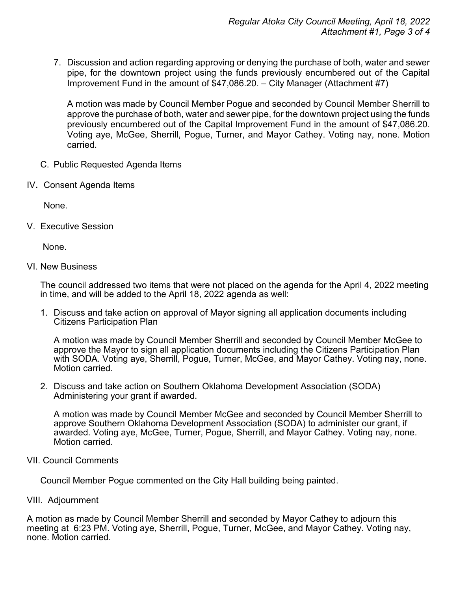7. Discussion and action regarding approving or denying the purchase of both, water and sewer pipe, for the downtown project using the funds previously encumbered out of the Capital Improvement Fund in the amount of \$47,086.20. – City Manager (Attachment #7)

A motion was made by Council Member Pogue and seconded by Council Member Sherrill to approve the purchase of both, water and sewer pipe, for the downtown project using the funds previously encumbered out of the Capital Improvement Fund in the amount of \$47,086.20. Voting aye, McGee, Sherrill, Pogue, Turner, and Mayor Cathey. Voting nay, none. Motion carried.

- C. Public Requested Agenda Items
- IV**.** Consent Agenda Items

None.

V. Executive Session

None.

VI. New Business

The council addressed two items that were not placed on the agenda for the April 4, 2022 meeting in time, and will be added to the April 18, 2022 agenda as well:

1. Discuss and take action on approval of Mayor signing all application documents including Citizens Participation Plan

A motion was made by Council Member Sherrill and seconded by Council Member McGee to approve the Mayor to sign all application documents including the Citizens Participation Plan with SODA. Voting aye, Sherrill, Pogue, Turner, McGee, and Mayor Cathey. Voting nay, none. Motion carried.

2. Discuss and take action on Southern Oklahoma Development Association (SODA) Administering your grant if awarded.

A motion was made by Council Member McGee and seconded by Council Member Sherrill to approve Southern Oklahoma Development Association (SODA) to administer our grant, if awarded. Voting aye, McGee, Turner, Pogue, Sherrill, and Mayor Cathey. Voting nay, none. Motion carried.

## VII. Council Comments

Council Member Pogue commented on the City Hall building being painted.

VIII. Adjournment

A motion as made by Council Member Sherrill and seconded by Mayor Cathey to adjourn this meeting at 6:23 PM. Voting aye, Sherrill, Pogue, Turner, McGee, and Mayor Cathey. Voting nay, none. Motion carried.